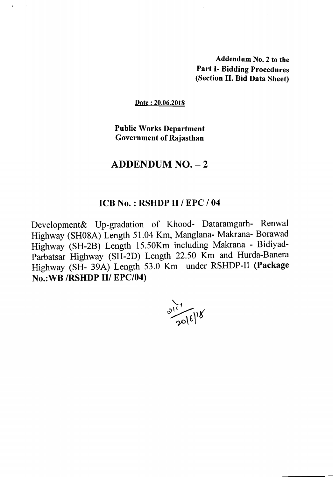Addendum No.2 to the Part 1- Bidding Procedures (Section II. Bid Data Sheet)

#### Date: 20.06.2018

Public Works Department Government of Rajasthan

# $ADDENDUM NO. - 2$

### ICB No. : RSHDP II *I* EPC *I 04*

Development& Up-gradation of Khood- Dataramgarh- Renwal Highway (SH08A) Length 51.04 Km, Manglana- Makrana- Borawad Highway (SH-2B) Length 15.50Km including Makrana - Bidiyad-Parbatsar Highway (SH-2D) Length 22.50 Km and Hurda-Banera Highway (SH- 39A) Length 53.0 Km under RSHDP-II (Package No.:WB *IRSHDP* III *EPC/04)*

 $\frac{e^{16}}{2016118}$